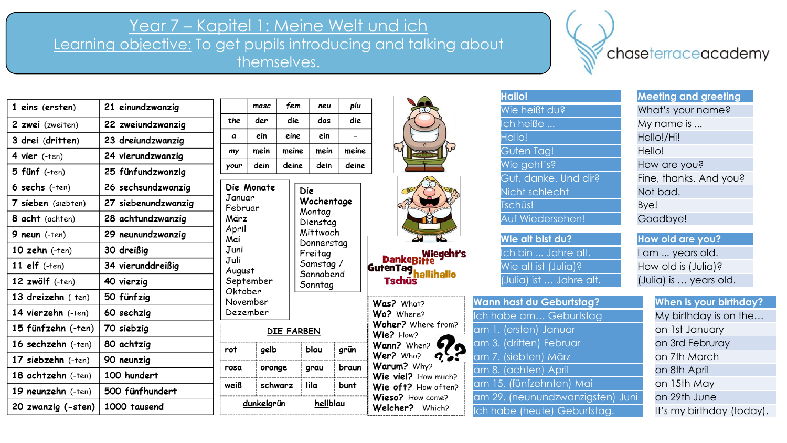## Year 7 – Kapitel 1: Meine Welt und ich

Learning objective: To get pupils introducing and talking about themselves.

Die Monate

Januar

März

April

Mai

Juni

Juli

rot

rosa

weiß

August

Oktober November

Dezember

September

Februar

chaseterraceacademy

| 1 eins (ersten)      | 21 einundzwanzig    |
|----------------------|---------------------|
| 2 zwei (zweiten)     | 22 zweiundzwanzig   |
| 3 drei (dritten)     | 23 dreiundzwanzig   |
| 4 vier (-ten)        | 24 vierundzwanzig   |
| 5 fünf (-ten)        | 25 fünfundzwanzig   |
| 6 sechs (-ten)       | 26 sechsundzwanzig  |
| 7 sieben (siebten)   | 27 siebenundzwanzig |
| 8 acht (achten)      | 28 achtundzwanzig   |
| 9 neun $(-ten)$      | 29 neunundzwanzig   |
| 10 $zehn$ (-ten)     | 30 dreißig          |
| 11 $elf$ $(-ten)$    | 34 vierunddreißig   |
| 12 $z$ wölf $(-ten)$ | 40 vierzig          |
| 13 dreizehn $(-ten)$ | 50 fünfzig          |
| 14 vierzehn (-ten)   | 60 sechzig          |
| 15 fünfzehn (-ten)   | 70 siebzig          |
| 16 sechzehn (-ten)   | 80 achtzig          |
| 17 siebzehn $(-ten)$ | 90 neunzig          |
| 18 achtzehn (-ten)   | 100 hundert         |
| 19 neunzehn $(-ten)$ | 500 fünfhundert     |
| 20 zwanzig (-sten)   | 1000 tausend        |

|      | masc | fem   | neu  | plu   |
|------|------|-------|------|-------|
| the  | der  | die   | das  | die   |
| a    | ein  | eine  | ein  |       |
| my   | mein | meine | mein | meine |
| your | dein | deine | dein | deine |

Die Wochentage Montag Dienstag Mittwoch Donnerstag Freitag Samstag/ Sonnabend Sonntag

DIE FARBEN

blau

grau

lila

hellblau

gelb

dunkelgrün

orange

schwarz





Wiegeht's<br>Danke<mark>Bitt</mark>e<br>GutenTag<sub>hallihallo</sub> **Tschüs** 



| <b>Hallo!</b>        | <b>Meeting and greeting</b> |
|----------------------|-----------------------------|
| Wie heißt du?        | What's your name?           |
| Ich heiße            | My name is                  |
| Hallo!               | Hello!/Hi!                  |
| Guten Tag!           | Hello!                      |
| Wie geht's?          | How are you?                |
| Gut, danke. Und dir? | Fine, thanks. And you?      |
| Nicht schlecht       | Not bad.                    |
| Tschüs!              | Bye!                        |
| Auf Wiedersehen!     | Goodbye!                    |
|                      |                             |
| Wie alt bist du?     | How old are you?            |
| Ich bin  Jahre alt.  | I am  years old.            |
| Wie alt ist (Julia)? | How old is (Julia)?         |
| <b>COLLECT</b>       |                             |

**Wann hast du Geburtstag?** Ich habe am... Geburtstag am 1. (ersten) Januar am 3. (dritten) Februar am 7. (siebten) März am 8. (achten) April am 15. (fünfzehnten) Mai am 29. (neunundzwanzigsten) Juni Ich habe (heute) Geburtstag.

| Hallo!               | <b>Meeting and greeting</b> |
|----------------------|-----------------------------|
| Wie heißt du?        | What's your name?           |
| Ich heiße            | My name is                  |
| Hallo!               | Hello!/Hi!                  |
| Guten Tag!           | Hello!                      |
| Wie geht's?          | How are you?                |
| Gut, danke. Und dir? | Fine, thanks. And you?      |
| Nicht schlecht       | Not bad.                    |
| Tschüs!              | Bye!                        |
| Auf Wiedersehen!     | Goodbye!                    |
| .                    |                             |

**How old are you?** I am ... years old. How old is (Julia)? (Julia) ist … Jahre alt. (Julia) is … years old.

| <b>When is your birthday?</b> |
|-------------------------------|
| My birthday is on the         |
| on 1st January                |
| on 3rd Februray               |
| on 7th March                  |
| on 8th April                  |
| on 15th May                   |
| on 29th June                  |
| It's my birthday (today).     |